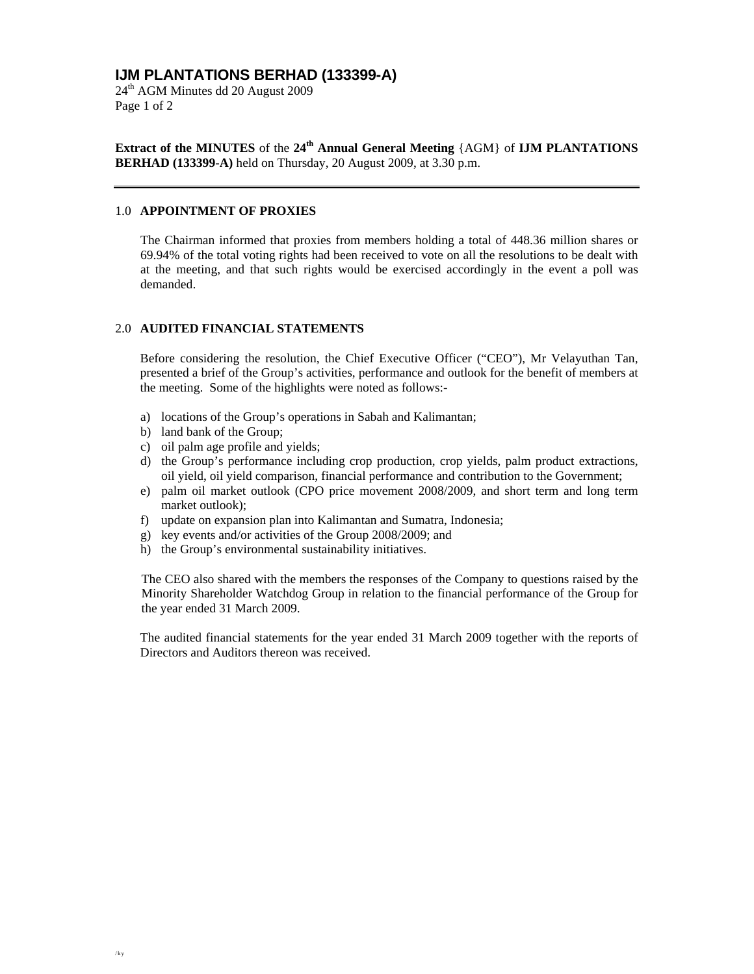# **IJM PLANTATIONS BERHAD (133399-A)**

24th AGM Minutes dd 20 August 2009 Page 1 of 2

**Extract of the MINUTES** of the **24th Annual General Meeting** {AGM} of **IJM PLANTATIONS BERHAD (133399-A)** held on Thursday, 20 August 2009, at 3.30 p.m.

### 1.0 **APPOINTMENT OF PROXIES**

The Chairman informed that proxies from members holding a total of 448.36 million shares or 69.94% of the total voting rights had been received to vote on all the resolutions to be dealt with at the meeting, and that such rights would be exercised accordingly in the event a poll was demanded.

#### 2.0 **AUDITED FINANCIAL STATEMENTS**

Before considering the resolution, the Chief Executive Officer ("CEO"), Mr Velayuthan Tan, presented a brief of the Group's activities, performance and outlook for the benefit of members at the meeting. Some of the highlights were noted as follows:-

- a) locations of the Group's operations in Sabah and Kalimantan;
- b) land bank of the Group;
- c) oil palm age profile and yields;
- d) the Group's performance including crop production, crop yields, palm product extractions, oil yield, oil yield comparison, financial performance and contribution to the Government;
- e) palm oil market outlook (CPO price movement 2008/2009, and short term and long term market outlook);
- f) update on expansion plan into Kalimantan and Sumatra, Indonesia;
- g) key events and/or activities of the Group 2008/2009; and
- h) the Group's environmental sustainability initiatives.

The CEO also shared with the members the responses of the Company to questions raised by the Minority Shareholder Watchdog Group in relation to the financial performance of the Group for the year ended 31 March 2009.

The audited financial statements for the year ended 31 March 2009 together with the reports of Directors and Auditors thereon was received.